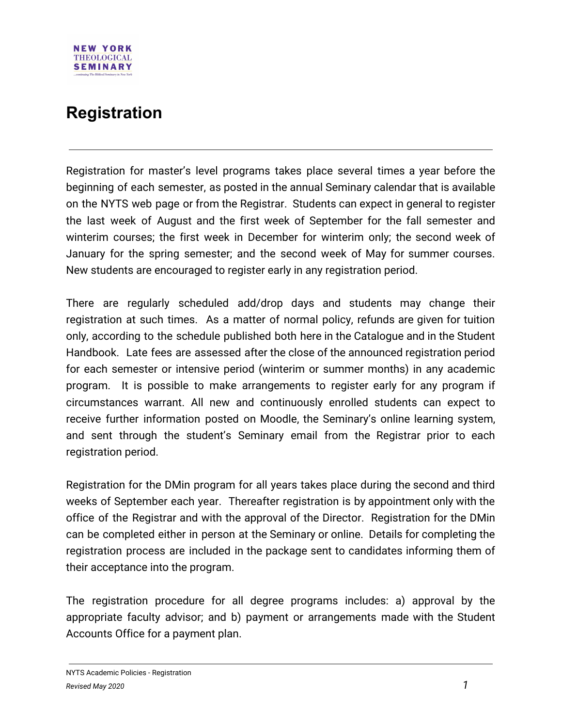## **NEW YORK THEOLOGICAL SEMINARY**

## **Registration**

Registration for master's level programs takes place several times a year before the beginning of each semester, as posted in the annual Seminary calendar that is available on the NYTS web page or from the Registrar. Students can expect in general to register the last week of August and the first week of September for the fall semester and winterim courses; the first week in December for winterim only; the second week of January for the spring semester; and the second week of May for summer courses. New students are encouraged to register early in any registration period.

There are regularly scheduled add/drop days and students may change their registration at such times. As a matter of normal policy, refunds are given for tuition only, according to the schedule published both here in the Catalogue and in the Student Handbook. Late fees are assessed after the close of the announced registration period for each semester or intensive period (winterim or summer months) in any academic program. It is possible to make arrangements to register early for any program if circumstances warrant. All new and continuously enrolled students can expect to receive further information posted on Moodle, the Seminary's online learning system, and sent through the student's Seminary email from the Registrar prior to each registration period.

Registration for the DMin program for all years takes place during the second and third weeks of September each year. Thereafter registration is by appointment only with the office of the Registrar and with the approval of the Director. Registration for the DMin can be completed either in person at the Seminary or online. Details for completing the registration process are included in the package sent to candidates informing them of their acceptance into the program.

The registration procedure for all degree programs includes: a) approval by the appropriate faculty advisor; and b) payment or arrangements made with the Student Accounts Office for a payment plan.